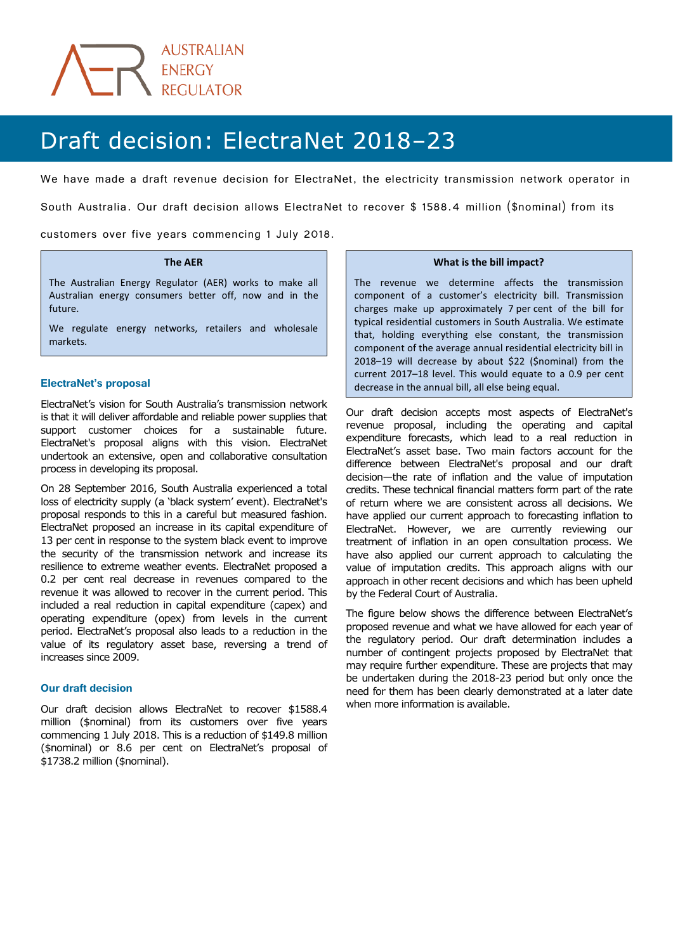

# Draft decision: ElectraNet 2018-23

We have made a draft revenue decision for ElectraNet, the electricity transmission network operator in

South Australia. Our draft decision allows ElectraNet to recover \$ 1588.4 million (\$nominal) from its

customers over five years commencing 1 July 2018.

#### **The AER**

The Australian Energy Regulator (AER) works to make all Australian energy consumers better off, now and in the future.

We regulate energy networks, retailers and wholesale markets.

## **ElectraNet's proposal**

ElectraNet's vision for South Australia's transmission network is that it will deliver affordable and reliable power supplies that support customer choices for a sustainable future. ElectraNet's proposal aligns with this vision. ElectraNet undertook an extensive, open and collaborative consultation process in developing its proposal.

On 28 September 2016, South Australia experienced a total loss of electricity supply (a 'black system' event). ElectraNet's proposal responds to this in a careful but measured fashion. ElectraNet proposed an increase in its capital expenditure of 13 per cent in response to the system black event to improve the security of the transmission network and increase its resilience to extreme weather events. ElectraNet proposed a 0.2 per cent real decrease in revenues compared to the revenue it was allowed to recover in the current period. This included a real reduction in capital expenditure (capex) and operating expenditure (opex) from levels in the current period. ElectraNet's proposal also leads to a reduction in the value of its regulatory asset base, reversing a trend of increases since 2009.

## **Our draft decision**

Our draft decision allows ElectraNet to recover \$1588.4 million (\$nominal) from its customers over five years commencing 1 July 2018. This is a reduction of \$149.8 million (\$nominal) or 8.6 per cent on ElectraNet's proposal of \$1738.2 million (\$nominal).

#### **What is the bill impact?**

l,

The revenue we determine affects the transmission component of a customer's electricity bill. Transmission charges make up approximately 7 per cent of the bill for typical residential customers in South Australia. We estimate that, holding everything else constant, the transmission component of the average annual residential electricity bill in 2018–19 will decrease by about \$22 (\$nominal) from the current 2017–18 level. This would equate to a 0.9 per cent decrease in the annual bill, all else being equal.

Our draft decision accepts most aspects of ElectraNet's revenue proposal, including the operating and capital expenditure forecasts, which lead to a real reduction in ElectraNet's asset base. Two main factors account for the difference between ElectraNet's proposal and our draft decision—the rate of inflation and the value of imputation credits. These technical financial matters form part of the rate of return where we are consistent across all decisions. We have applied our current approach to forecasting inflation to ElectraNet. However, we are currently reviewing our treatment of inflation in an open consultation process. We have also applied our current approach to calculating the value of imputation credits. This approach aligns with our approach in other recent decisions and which has been upheld by the Federal Court of Australia.

The figure below shows the difference between ElectraNet's proposed revenue and what we have allowed for each year of the regulatory period. Our draft determination includes a number of contingent projects proposed by ElectraNet that may require further expenditure. These are projects that may be undertaken during the 2018-23 period but only once the need for them has been clearly demonstrated at a later date when more information is available.